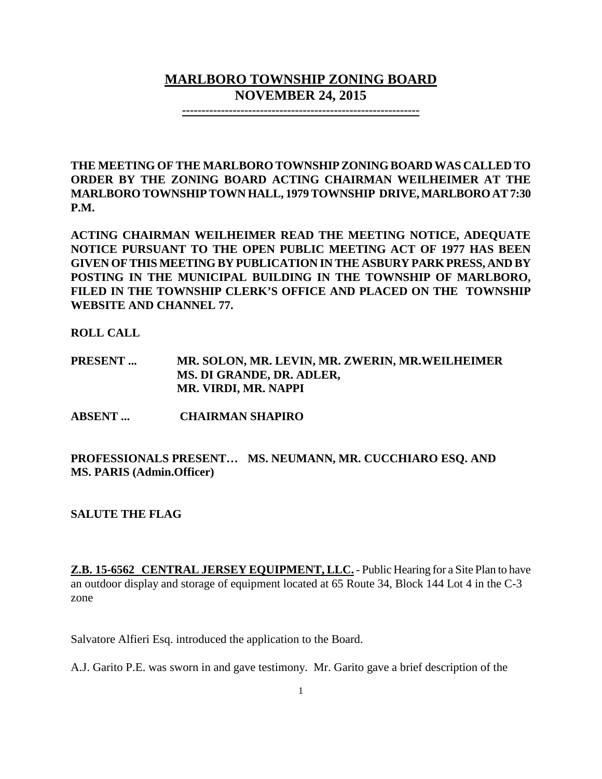## **MARLBORO TOWNSHIP ZONING BOARD NOVEMBER 24, 2015**

**-------------------------------------------------------------**

**THE MEETING OF THE MARLBORO TOWNSHIP ZONING BOARD WAS CALLED TO ORDER BY THE ZONING BOARD ACTING CHAIRMAN WEILHEIMER AT THE MARLBORO TOWNSHIPTOWN HALL, 1979 TOWNSHIP DRIVE, MARLBORO AT 7:30 P.M.**

**ACTING CHAIRMAN WEILHEIMER READ THE MEETING NOTICE, ADEQUATE NOTICE PURSUANT TO THE OPEN PUBLIC MEETING ACT OF 1977 HAS BEEN GIVEN OF THIS MEETING BY PUBLICATION IN THE ASBURY PARK PRESS, AND BY POSTING IN THE MUNICIPAL BUILDING IN THE TOWNSHIP OF MARLBORO, FILED IN THE TOWNSHIP CLERK'S OFFICE AND PLACED ON THE TOWNSHIP WEBSITE AND CHANNEL 77.**

**ROLL CALL**

- **PRESENT ... MR. SOLON, MR. LEVIN, MR. ZWERIN, MR.WEILHEIMER MS. DI GRANDE, DR. ADLER, MR. VIRDI, MR. NAPPI**
- **ABSENT ... CHAIRMAN SHAPIRO**

**PROFESSIONALS PRESENT… MS. NEUMANN, MR. CUCCHIARO ESQ. AND MS. PARIS (Admin.Officer)**

**SALUTE THE FLAG**

**Z.B. 15-6562 CENTRAL JERSEY EQUIPMENT, LLC.** - Public Hearing for a Site Plan to have an outdoor display and storage of equipment located at 65 Route 34, Block 144 Lot 4 in the C-3 zone

Salvatore Alfieri Esq. introduced the application to the Board.

A.J. Garito P.E. was sworn in and gave testimony. Mr. Garito gave a brief description of the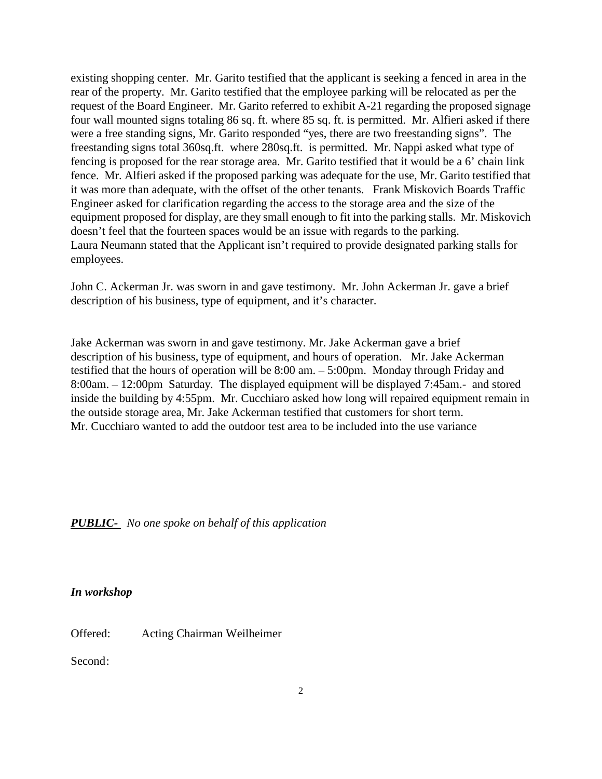existing shopping center. Mr. Garito testified that the applicant is seeking a fenced in area in the rear of the property. Mr. Garito testified that the employee parking will be relocated as per the request of the Board Engineer. Mr. Garito referred to exhibit A-21 regarding the proposed signage four wall mounted signs totaling 86 sq. ft. where 85 sq. ft. is permitted. Mr. Alfieri asked if there were a free standing signs, Mr. Garito responded "yes, there are two freestanding signs". The freestanding signs total 360sq.ft. where 280sq.ft. is permitted. Mr. Nappi asked what type of fencing is proposed for the rear storage area. Mr. Garito testified that it would be a 6' chain link fence. Mr. Alfieri asked if the proposed parking was adequate for the use, Mr. Garito testified that it was more than adequate, with the offset of the other tenants. Frank Miskovich Boards Traffic Engineer asked for clarification regarding the access to the storage area and the size of the equipment proposed for display, are they small enough to fit into the parking stalls. Mr. Miskovich doesn't feel that the fourteen spaces would be an issue with regards to the parking. Laura Neumann stated that the Applicant isn't required to provide designated parking stalls for employees.

John C. Ackerman Jr. was sworn in and gave testimony. Mr. John Ackerman Jr. gave a brief description of his business, type of equipment, and it's character.

Jake Ackerman was sworn in and gave testimony. Mr. Jake Ackerman gave a brief description of his business, type of equipment, and hours of operation. Mr. Jake Ackerman testified that the hours of operation will be 8:00 am. – 5:00pm. Monday through Friday and 8:00am. – 12:00pm Saturday. The displayed equipment will be displayed 7:45am.- and stored inside the building by 4:55pm. Mr. Cucchiaro asked how long will repaired equipment remain in the outside storage area, Mr. Jake Ackerman testified that customers for short term. Mr. Cucchiaro wanted to add the outdoor test area to be included into the use variance

#### *PUBLIC- No one spoke on behalf of this application*

*In workshop*

Offered: Acting Chairman Weilheimer

Second: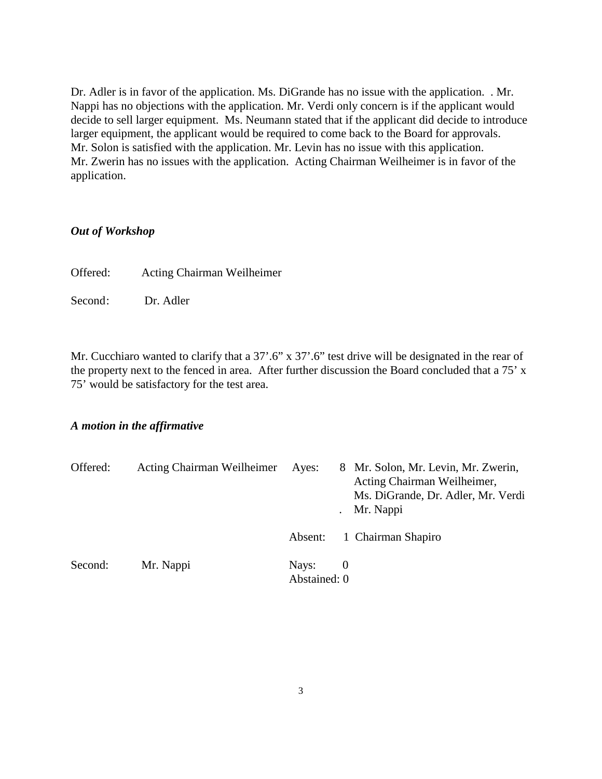Dr. Adler is in favor of the application. Ms. DiGrande has no issue with the application. . Mr. Nappi has no objections with the application. Mr. Verdi only concern is if the applicant would decide to sell larger equipment. Ms. Neumann stated that if the applicant did decide to introduce larger equipment, the applicant would be required to come back to the Board for approvals. Mr. Solon is satisfied with the application. Mr. Levin has no issue with this application. Mr. Zwerin has no issues with the application. Acting Chairman Weilheimer is in favor of the application.

#### *Out of Workshop*

Offered: Acting Chairman Weilheimer

Second: Dr. Adler

Mr. Cucchiaro wanted to clarify that a 37'.6" x 37'.6" test drive will be designated in the rear of the property next to the fenced in area. After further discussion the Board concluded that a 75' x 75' would be satisfactory for the test area.

### *A motion in the affirmative*

| Offered: | Acting Chairman Weilheimer | Ayes:                 |     | 8 Mr. Solon, Mr. Levin, Mr. Zwerin,<br>Acting Chairman Weilheimer,<br>Ms. DiGrande, Dr. Adler, Mr. Verdi<br>Mr. Nappi |
|----------|----------------------------|-----------------------|-----|-----------------------------------------------------------------------------------------------------------------------|
|          |                            | Absent:               |     | 1 Chairman Shapiro                                                                                                    |
| Second:  | Mr. Nappi                  | Nays:<br>Abstained: 0 | - 0 |                                                                                                                       |